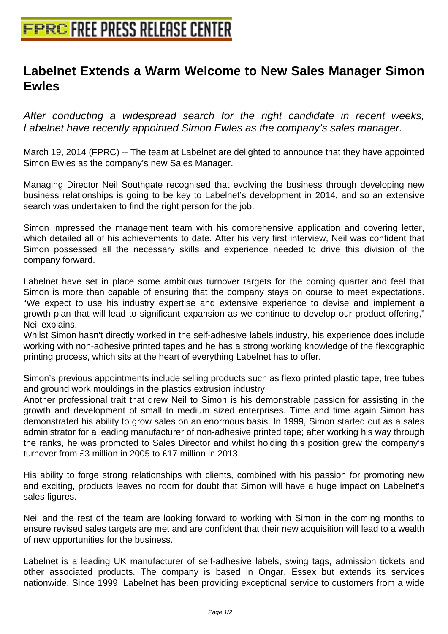## **[Labelnet Extends a Warm Welcom](http://www.free-press-release-center.info)e to New Sales Manager Simon Ewles**

After conducting a widespread search for the right candidate in recent weeks, Labelnet have recently appointed Simon Ewles as the company's sales manager.

March 19, 2014 (FPRC) -- The team at Labelnet are delighted to announce that they have appointed Simon Ewles as the company's new Sales Manager.

Managing Director Neil Southgate recognised that evolving the business through developing new business relationships is going to be key to Labelnet's development in 2014, and so an extensive search was undertaken to find the right person for the job.

Simon impressed the management team with his comprehensive application and covering letter, which detailed all of his achievements to date. After his very first interview, Neil was confident that Simon possessed all the necessary skills and experience needed to drive this division of the company forward.

Labelnet have set in place some ambitious turnover targets for the coming quarter and feel that Simon is more than capable of ensuring that the company stays on course to meet expectations. "We expect to use his industry expertise and extensive experience to devise and implement a growth plan that will lead to significant expansion as we continue to develop our product offering," Neil explains.

Whilst Simon hasn't directly worked in the self-adhesive labels industry, his experience does include working with non-adhesive printed tapes and he has a strong working knowledge of the flexographic printing process, which sits at the heart of everything Labelnet has to offer.

Simon's previous appointments include selling products such as flexo printed plastic tape, tree tubes and ground work mouldings in the plastics extrusion industry.

Another professional trait that drew Neil to Simon is his demonstrable passion for assisting in the growth and development of small to medium sized enterprises. Time and time again Simon has demonstrated his ability to grow sales on an enormous basis. In 1999, Simon started out as a sales administrator for a leading manufacturer of non-adhesive printed tape; after working his way through the ranks, he was promoted to Sales Director and whilst holding this position grew the company's turnover from £3 million in 2005 to £17 million in 2013.

His ability to forge strong relationships with clients, combined with his passion for promoting new and exciting, products leaves no room for doubt that Simon will have a huge impact on Labelnet's sales figures.

Neil and the rest of the team are looking forward to working with Simon in the coming months to ensure revised sales targets are met and are confident that their new acquisition will lead to a wealth of new opportunities for the business.

Labelnet is a leading UK manufacturer of self-adhesive labels, swing tags, admission tickets and other associated products. The company is based in Ongar, Essex but extends its services nationwide. Since 1999, Labelnet has been providing exceptional service to customers from a wide